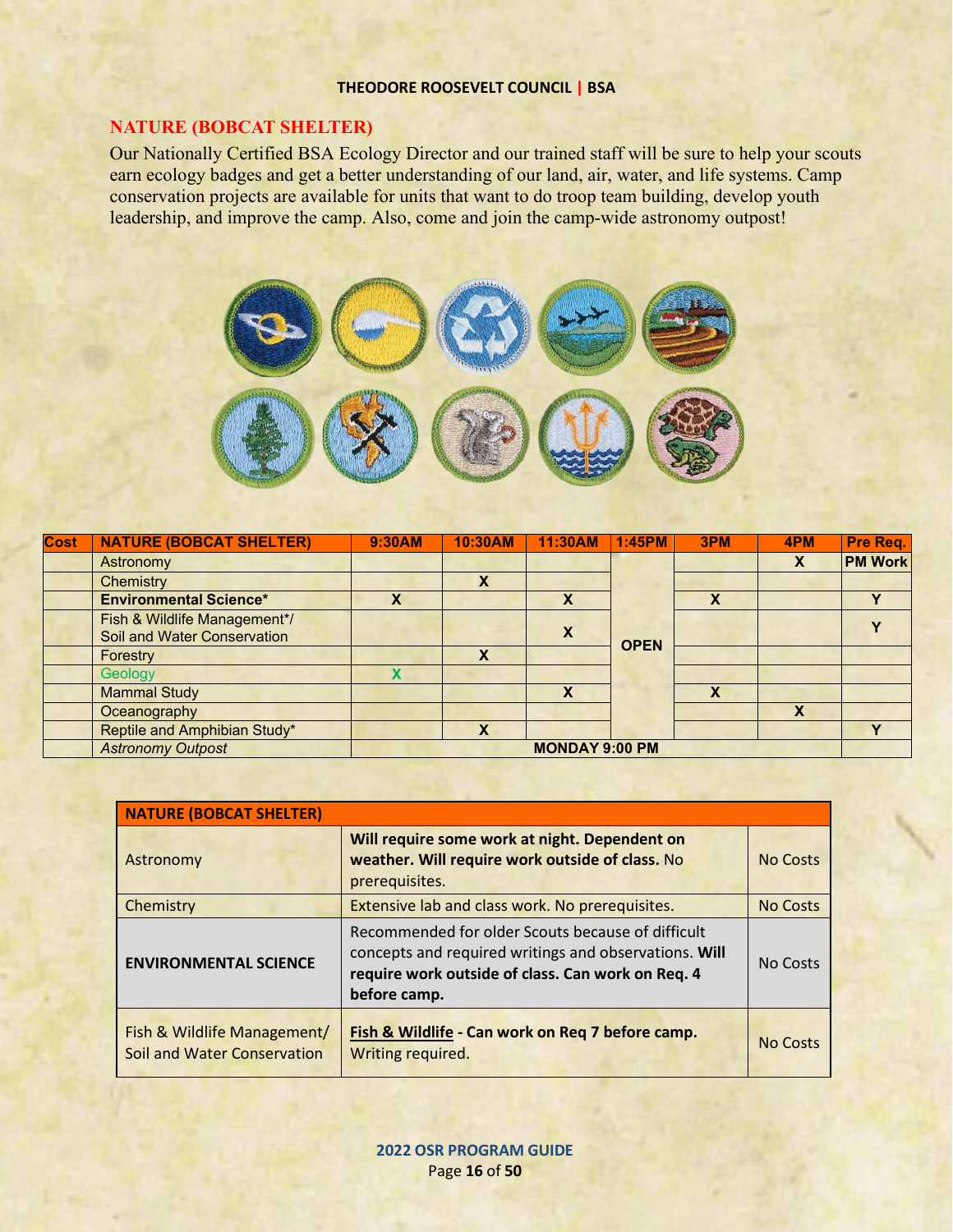## **THEODORE ROOSEVELT COUNCIL | BSA**

## **NATURE (BOBCAT SHELTER)**

Our Nationally Certified BSA Ecology Director and our trained staff will be sure to help your scouts earn ecology badges and get a better understanding of our land, air, water, and life systems. Camp conservation projects are available for units that want to do troop team building, develop youth leadership, and improve the camp. Also, come and join the camp-wide astronomy outpost!



| Cost | <b>NATURE (BOBCAT SHELTER)</b>                              | 9:30AM                | 10:30AM | 11:30AM | 1:45PM      | 3PM | 4PM | Pre Req.       |
|------|-------------------------------------------------------------|-----------------------|---------|---------|-------------|-----|-----|----------------|
|      | Astronomy                                                   |                       |         |         |             |     |     | <b>PM Work</b> |
|      | Chemistry                                                   |                       |         |         |             |     |     |                |
|      | <b>Environmental Science*</b>                               | x                     |         |         |             | X   |     |                |
|      | Fish & Wildlife Management*/<br>Soil and Water Conservation |                       |         | X       | <b>OPEN</b> |     |     |                |
|      | Forestry                                                    |                       | X       |         |             |     |     |                |
|      | Geology                                                     |                       |         |         |             |     |     |                |
|      | <b>Mammal Study</b>                                         |                       |         | X       |             | X   |     |                |
|      | Oceanography                                                |                       |         |         |             |     | X   |                |
|      | Reptile and Amphibian Study*                                |                       | x       |         |             |     |     |                |
|      | <b>Astronomy Outpost</b>                                    | <b>MONDAY 9:00 PM</b> |         |         |             |     |     |                |

| <b>NATURE (BOBCAT SHELTER)</b>                             |                                                                                                                                                                                 |                 |  |  |  |  |
|------------------------------------------------------------|---------------------------------------------------------------------------------------------------------------------------------------------------------------------------------|-----------------|--|--|--|--|
| Astronomy                                                  | Will require some work at night. Dependent on<br>weather. Will require work outside of class. No<br>prerequisites.                                                              | <b>No Costs</b> |  |  |  |  |
| Chemistry                                                  | Extensive lab and class work. No prerequisites.                                                                                                                                 | <b>No Costs</b> |  |  |  |  |
| <b>ENVIRONMENTAL SCIENCE</b>                               | Recommended for older Scouts because of difficult<br>concepts and required writings and observations. Will<br>require work outside of class. Can work on Req. 4<br>before camp. | No Costs        |  |  |  |  |
| Fish & Wildlife Management/<br>Soil and Water Conservation | Fish & Wildlife - Can work on Req 7 before camp.<br>Writing required.                                                                                                           | <b>No Costs</b> |  |  |  |  |

**2022 OSR PROGRAM GUIDE** Page **16** of **50**